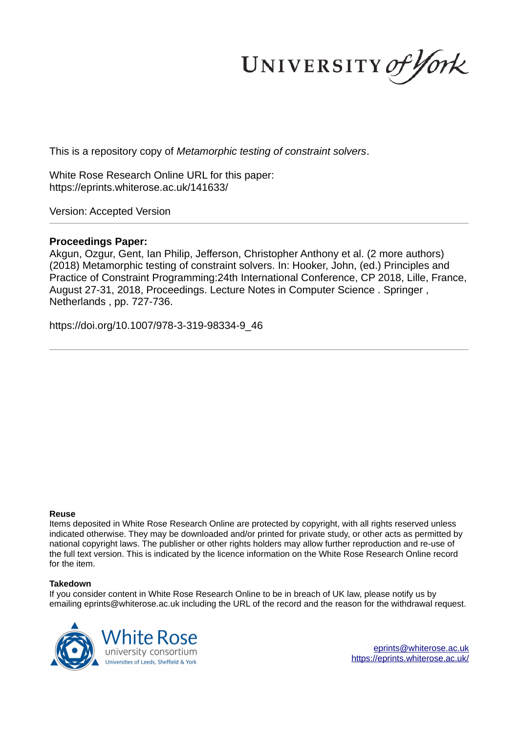UNIVERSITY of York

This is a repository copy of *Metamorphic testing of constraint solvers*.

White Rose Research Online URL for this paper: https://eprints.whiterose.ac.uk/141633/

Version: Accepted Version

# **Proceedings Paper:**

Akgun, Ozgur, Gent, Ian Philip, Jefferson, Christopher Anthony et al. (2 more authors) (2018) Metamorphic testing of constraint solvers. In: Hooker, John, (ed.) Principles and Practice of Constraint Programming:24th International Conference, CP 2018, Lille, France, August 27-31, 2018, Proceedings. Lecture Notes in Computer Science . Springer , Netherlands , pp. 727-736.

https://doi.org/10.1007/978-3-319-98334-9\_46

### **Reuse**

Items deposited in White Rose Research Online are protected by copyright, with all rights reserved unless indicated otherwise. They may be downloaded and/or printed for private study, or other acts as permitted by national copyright laws. The publisher or other rights holders may allow further reproduction and re-use of the full text version. This is indicated by the licence information on the White Rose Research Online record for the item.

### **Takedown**

If you consider content in White Rose Research Online to be in breach of UK law, please notify us by emailing eprints@whiterose.ac.uk including the URL of the record and the reason for the withdrawal request.



eprints@whiterose.ac.uk https://eprints.whiterose.ac.uk/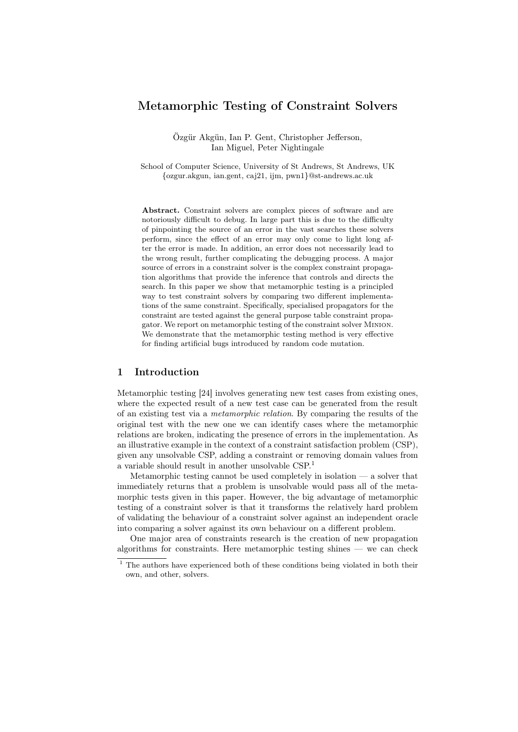# Metamorphic Testing of Constraint Solvers

Özgür Akgün, Ian P. Gent, Christopher Jefferson, Ian Miguel, Peter Nightingale

School of Computer Science, University of St Andrews, St Andrews, UK {ozgur.akgun, ian.gent, caj21, ijm, pwn1}@st-andrews.ac.uk

Abstract. Constraint solvers are complex pieces of software and are notoriously difficult to debug. In large part this is due to the difficulty of pinpointing the source of an error in the vast searches these solvers perform, since the effect of an error may only come to light long after the error is made. In addition, an error does not necessarily lead to the wrong result, further complicating the debugging process. A major source of errors in a constraint solver is the complex constraint propagation algorithms that provide the inference that controls and directs the search. In this paper we show that metamorphic testing is a principled way to test constraint solvers by comparing two different implementations of the same constraint. Specifically, specialised propagators for the constraint are tested against the general purpose table constraint propagator. We report on metamorphic testing of the constraint solver Minion. We demonstrate that the metamorphic testing method is very effective for finding artificial bugs introduced by random code mutation.

### 1 Introduction

Metamorphic testing [24] involves generating new test cases from existing ones, where the expected result of a new test case can be generated from the result of an existing test via a metamorphic relation. By comparing the results of the original test with the new one we can identify cases where the metamorphic relations are broken, indicating the presence of errors in the implementation. As an illustrative example in the context of a constraint satisfaction problem (CSP), given any unsolvable CSP, adding a constraint or removing domain values from a variable should result in another unsolvable CSP.<sup>1</sup>

Metamorphic testing cannot be used completely in isolation  $-$  a solver that immediately returns that a problem is unsolvable would pass all of the metamorphic tests given in this paper. However, the big advantage of metamorphic testing of a constraint solver is that it transforms the relatively hard problem of validating the behaviour of a constraint solver against an independent oracle into comparing a solver against its own behaviour on a different problem.

One major area of constraints research is the creation of new propagation algorithms for constraints. Here metamorphic testing shines  $-$  we can check

 $^{\rm 1}$  The authors have experienced both of these conditions being violated in both their own, and other, solvers.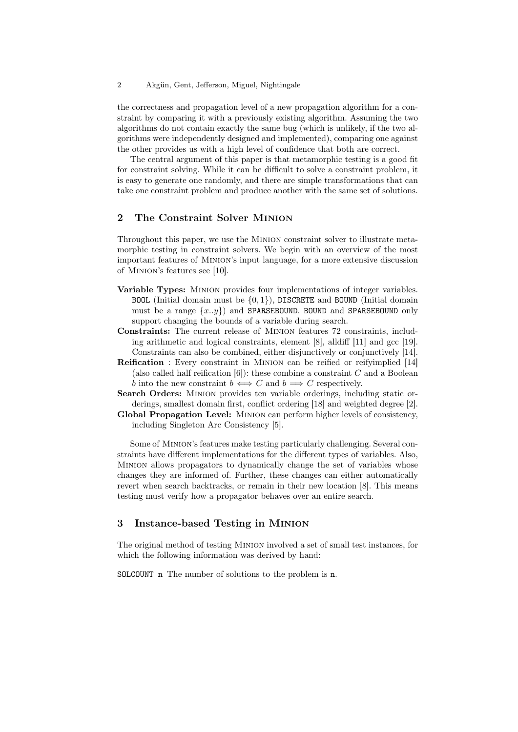the correctness and propagation level of a new propagation algorithm for a constraint by comparing it with a previously existing algorithm. Assuming the two algorithms do not contain exactly the same bug (which is unlikely, if the two algorithms were independently designed and implemented), comparing one against the other provides us with a high level of confidence that both are correct.

The central argument of this paper is that metamorphic testing is a good fit for constraint solving. While it can be difficult to solve a constraint problem, it is easy to generate one randomly, and there are simple transformations that can take one constraint problem and produce another with the same set of solutions.

## 2 The Constraint Solver Minion

Throughout this paper, we use the Minion constraint solver to illustrate metamorphic testing in constraint solvers. We begin with an overview of the most important features of Minion's input language, for a more extensive discussion of Minion's features see [10].

- Variable Types: Minion provides four implementations of integer variables. BOOL (Initial domain must be  $\{0, 1\}$ ), DISCRETE and BOUND (Initial domain must be a range  $\{x \ldotp y\}$  and SPARSEBOUND. BOUND and SPARSEBOUND only support changing the bounds of a variable during search.
- Constraints: The current release of Minion features 72 constraints, including arithmetic and logical constraints, element [8], alldiff [11] and gcc [19]. Constraints can also be combined, either disjunctively or conjunctively [14].
- **Reification** : Every constraint in MINION can be reified or reifyimplied [14] (also called half reification  $[6]$ ): these combine a constraint C and a Boolean b into the new constraint  $b \iff C$  and  $b \implies C$  respectively.
- Search Orders: MINION provides ten variable orderings, including static orderings, smallest domain first, conflict ordering [18] and weighted degree [2].
- Global Propagation Level: Minion can perform higher levels of consistency, including Singleton Arc Consistency [5].

Some of Minion's features make testing particularly challenging. Several constraints have different implementations for the different types of variables. Also, Minion allows propagators to dynamically change the set of variables whose changes they are informed of. Further, these changes can either automatically revert when search backtracks, or remain in their new location [8]. This means testing must verify how a propagator behaves over an entire search.

## 3 Instance-based Testing in Minion

The original method of testing Minion involved a set of small test instances, for which the following information was derived by hand:

SOLCOUNT n The number of solutions to the problem is n.

<sup>2</sup> Akgün, Gent, Jefferson, Miguel, Nightingale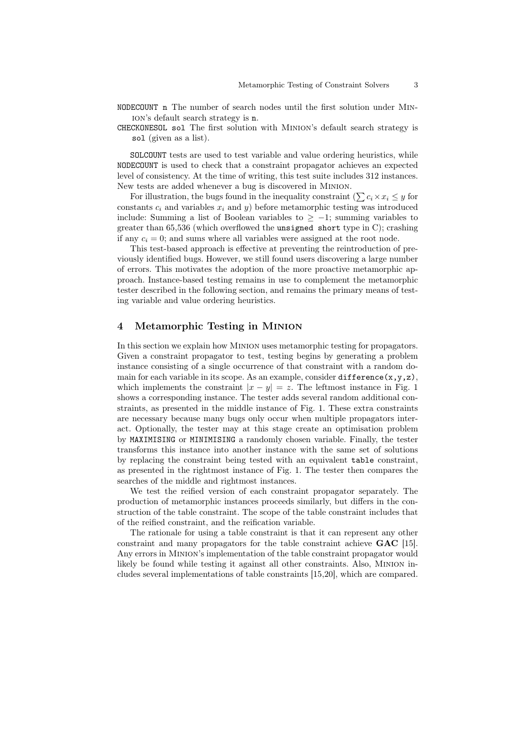NODECOUNT n The number of search nodes until the first solution under Minion's default search strategy is n.

CHECKONESOL sol The first solution with Minion's default search strategy is sol (given as a list).

SOLCOUNT tests are used to test variable and value ordering heuristics, while NODECOUNT is used to check that a constraint propagator achieves an expected level of consistency. At the time of writing, this test suite includes 312 instances. New tests are added whenever a bug is discovered in Minion.

For illustration, the bugs found in the inequality constraint ( $\sum c_i \times x_i \leq y$  for constants  $c_i$  and variables  $x_i$  and y) before metamorphic testing was introduced include: Summing a list of Boolean variables to  $\geq -1$ ; summing variables to greater than 65,536 (which overflowed the unsigned short type in C); crashing if any  $c_i = 0$ ; and sums where all variables were assigned at the root node.

This test-based approach is effective at preventing the reintroduction of previously identified bugs. However, we still found users discovering a large number of errors. This motivates the adoption of the more proactive metamorphic approach. Instance-based testing remains in use to complement the metamorphic tester described in the following section, and remains the primary means of testing variable and value ordering heuristics.

#### 4 Metamorphic Testing in Minion

In this section we explain how Minion uses metamorphic testing for propagators. Given a constraint propagator to test, testing begins by generating a problem instance consisting of a single occurrence of that constraint with a random domain for each variable in its scope. As an example, consider difference  $(x, y, z)$ , which implements the constraint  $|x - y| = z$ . The leftmost instance in Fig. 1 shows a corresponding instance. The tester adds several random additional constraints, as presented in the middle instance of Fig. 1. These extra constraints are necessary because many bugs only occur when multiple propagators interact. Optionally, the tester may at this stage create an optimisation problem by MAXIMISING or MINIMISING a randomly chosen variable. Finally, the tester transforms this instance into another instance with the same set of solutions by replacing the constraint being tested with an equivalent table constraint, as presented in the rightmost instance of Fig. 1. The tester then compares the searches of the middle and rightmost instances.

We test the reified version of each constraint propagator separately. The production of metamorphic instances proceeds similarly, but differs in the construction of the table constraint. The scope of the table constraint includes that of the reified constraint, and the reification variable.

The rationale for using a table constraint is that it can represent any other constraint and many propagators for the table constraint achieve GAC [15]. Any errors in Minion's implementation of the table constraint propagator would likely be found while testing it against all other constraints. Also, Minion includes several implementations of table constraints [15,20], which are compared.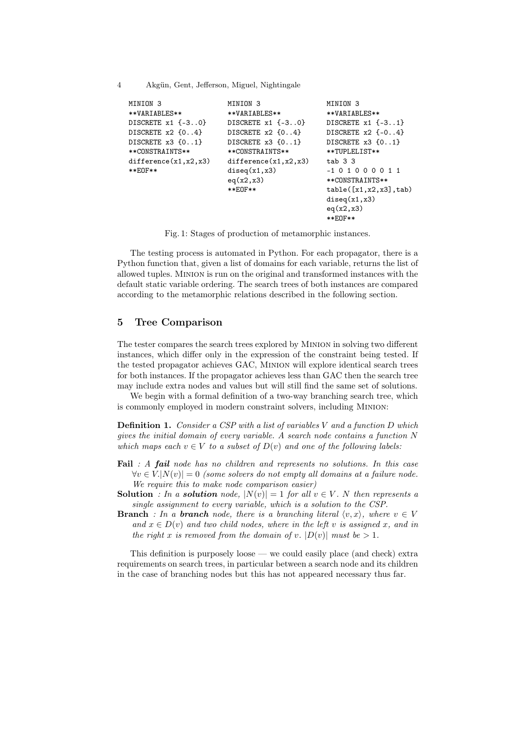4 Akgün, Gent, Jefferson, Miguel, Nightingale

```
MINION 3
**VARIABLES**
DISCRETE x1 {-3..0}
DISCRETE x2 {0..4}
DISCRETE x3 {0..1}
**CONSTRAINTS**
difference(x1,x2,x3)
**EOF**
                        MINION 3
                         **VARIABLES**
                        DISCRETE x1 {-3..0}
                        DISCRETE x2 {0..4}
                        DISCRETE x3 {0..1}
                         **CONSTRAINTS**
                         difference(x1,x2,x3)
                         diseq(x1,x3)
                         eq(x2,x3)**EOF**
                                                  MINION 3
                                                  **VARIABLES**
                                                  DISCRETE x1 {-3..1}
                                                  DISCRETE x2 {-0..4}
                                                  DISCRETE x3 {0..1}
                                                  **TUPLELIST**
                                                  tab 3 3
                                                  -1 0 1 0 0 0 0 1 1
                                                  **CONSTRAINTS**
                                                  table([x1,x2,x3],tab)
                                                  discq(x1,x3)eq(x2, x3)**EOF**
```
Fig. 1: Stages of production of metamorphic instances.

The testing process is automated in Python. For each propagator, there is a Python function that, given a list of domains for each variable, returns the list of allowed tuples. Minion is run on the original and transformed instances with the default static variable ordering. The search trees of both instances are compared according to the metamorphic relations described in the following section.

### 5 Tree Comparison

The tester compares the search trees explored by Minion in solving two different instances, which differ only in the expression of the constraint being tested. If the tested propagator achieves GAC, Minion will explore identical search trees for both instances. If the propagator achieves less than GAC then the search tree may include extra nodes and values but will still find the same set of solutions.

We begin with a formal definition of a two-way branching search tree, which is commonly employed in modern constraint solvers, including Minion:

**Definition 1.** Consider a CSP with a list of variables  $V$  and a function  $D$  which gives the initial domain of every variable. A search node contains a function N which maps each  $v \in V$  to a subset of  $D(v)$  and one of the following labels:

- Fail : A fail node has no children and represents no solutions. In this case  $\forall v \in V. |N(v)| = 0$  (some solvers do not empty all domains at a failure node. We require this to make node comparison easier)
- **Solution** : In a **solution** node,  $|N(v)| = 1$  for all  $v \in V$ . N then represents a single assignment to every variable, which is a solution to the CSP.
- **Branch** : In a **branch** node, there is a branching literal  $\langle v, x \rangle$ , where  $v \in V$ and  $x \in D(v)$  and two child nodes, where in the left v is assigned x, and in the right x is removed from the domain of v.  $|D(v)|$  must be  $> 1$ .

This definition is purposely loose — we could easily place (and check) extra requirements on search trees, in particular between a search node and its children in the case of branching nodes but this has not appeared necessary thus far.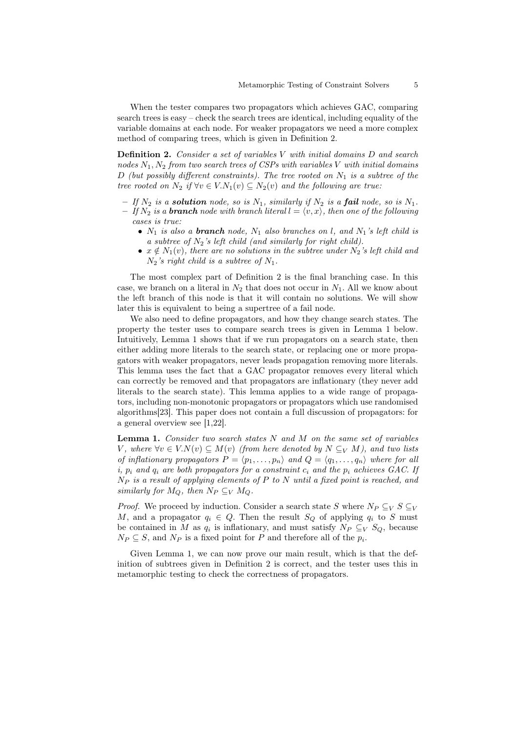When the tester compares two propagators which achieves GAC, comparing search trees is easy – check the search trees are identical, including equality of the variable domains at each node. For weaker propagators we need a more complex method of comparing trees, which is given in Definition 2.

**Definition 2.** Consider a set of variables  $V$  with initial domains  $D$  and search nodes  $N_1, N_2$  from two search trees of CSPs with variables V with initial domains D (but possibly different constraints). The tree rooted on  $N_1$  is a subtree of the tree rooted on  $N_2$  if  $\forall v \in V.N_1(v) \subseteq N_2(v)$  and the following are true:

- If  $N_2$  is a **solution** node, so is  $N_1$ , similarly if  $N_2$  is a **fail** node, so is  $N_1$ .
- $-If N_2$  is a **branch** node with branch literal  $l = \langle v, x \rangle$ , then one of the following cases is true:
	- $N_1$  is also a **branch** node,  $N_1$  also branches on l, and  $N_1$ 's left child is a subtree of  $N_2$ 's left child (and similarly for right child).
	- $x \notin N_1(v)$ , there are no solutions in the subtree under  $N_2$ 's left child and  $N_2$ 's right child is a subtree of  $N_1$ .

The most complex part of Definition 2 is the final branching case. In this case, we branch on a literal in  $N_2$  that does not occur in  $N_1$ . All we know about the left branch of this node is that it will contain no solutions. We will show later this is equivalent to being a supertree of a fail node.

We also need to define propagators, and how they change search states. The property the tester uses to compare search trees is given in Lemma 1 below. Intuitively, Lemma 1 shows that if we run propagators on a search state, then either adding more literals to the search state, or replacing one or more propagators with weaker propagators, never leads propagation removing more literals. This lemma uses the fact that a GAC propagator removes every literal which can correctly be removed and that propagators are inflationary (they never add literals to the search state). This lemma applies to a wide range of propagators, including non-monotonic propagators or propagators which use randomised algorithms[23]. This paper does not contain a full discussion of propagators: for a general overview see [1,22].

**Lemma 1.** Consider two search states  $N$  and  $M$  on the same set of variables V, where  $\forall v \in V.N(v) \subseteq M(v)$  (from here denoted by  $N \subseteq V.M$ ), and two lists of inflationary propagators  $P = \langle p_1, \ldots, p_n \rangle$  and  $Q = \langle q_1, \ldots, q_n \rangle$  where for all i,  $p_i$  and  $q_i$  are both propagators for a constraint  $c_i$  and the  $p_i$  achieves GAC. If  $N_P$  is a result of applying elements of P to N until a fixed point is reached, and similarly for  $M_Q$ , then  $N_P \subseteq_V M_Q$ .

*Proof.* We proceed by induction. Consider a search state S where  $N_P \subseteq_V S \subseteq_V V$ M, and a propagator  $q_i \in Q$ . Then the result  $S_Q$  of applying  $q_i$  to S must be contained in M as  $q_i$  is inflationary, and must satisfy  $N_P \subseteq_V S_Q$ , because  $N_P \subseteq S$ , and  $N_P$  is a fixed point for P and therefore all of the  $p_i$ .

Given Lemma 1, we can now prove our main result, which is that the definition of subtrees given in Definition 2 is correct, and the tester uses this in metamorphic testing to check the correctness of propagators.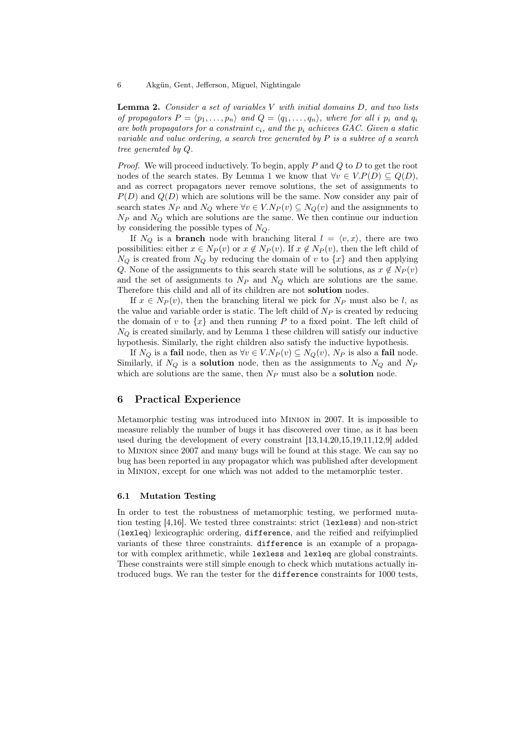**Lemma 2.** Consider a set of variables  $V$  with initial domains  $D$ , and two lists of propagators  $P = \langle p_1, \ldots, p_n \rangle$  and  $Q = \langle q_1, \ldots, q_n \rangle$ , where for all i  $p_i$  and  $q_i$ are both propagators for a constraint  $c_i$ , and the  $p_i$  achieves GAC. Given a static variable and value ordering, a search tree generated by  $P$  is a subtree of a search tree generated by Q.

*Proof.* We will proceed inductively. To begin, apply  $P$  and  $Q$  to  $D$  to get the root nodes of the search states. By Lemma 1 we know that  $\forall v \in V.P(D) \subseteq Q(D)$ , and as correct propagators never remove solutions, the set of assignments to  $P(D)$  and  $Q(D)$  which are solutions will be the same. Now consider any pair of search states  $N_P$  and  $N_Q$  where  $\forall v \in V.N_P(v) \subseteq N_Q(v)$  and the assignments to  $N_P$  and  $N_Q$  which are solutions are the same. We then continue our induction by considering the possible types of  $N_Q$ .

If  $N_Q$  is a **branch** node with branching literal  $l = \langle v, x \rangle$ , there are two possibilities: either  $x \in N_P(v)$  or  $x \notin N_P(v)$ . If  $x \notin N_P(v)$ , then the left child of  $N_Q$  is created from  $N_Q$  by reducing the domain of v to  $\{x\}$  and then applying Q. None of the assignments to this search state will be solutions, as  $x \notin N_P(v)$ and the set of assignments to  $N_P$  and  $N_Q$  which are solutions are the same. Therefore this child and all of its children are not solution nodes.

If  $x \in N_P(v)$ , then the branching literal we pick for  $N_P$  must also be l, as the value and variable order is static. The left child of  $N_P$  is created by reducing the domain of v to  $\{x\}$  and then running P to a fixed point. The left child of  $N_Q$  is created similarly, and by Lemma 1 these children will satisfy our inductive hypothesis. Similarly, the right children also satisfy the inductive hypothesis.

If  $N_Q$  is a fail node, then as  $\forall v \in V.N_P(v) \subseteq N_Q(v)$ ,  $N_P$  is also a fail node. Similarly, if  $N_Q$  is a **solution** node, then as the assignments to  $N_Q$  and  $N_P$ which are solutions are the same, then  $N_P$  must also be a **solution** node.

### 6 Practical Experience

Metamorphic testing was introduced into Minion in 2007. It is impossible to measure reliably the number of bugs it has discovered over time, as it has been used during the development of every constraint [13,14,20,15,19,11,12,9] added to Minion since 2007 and many bugs will be found at this stage. We can say no bug has been reported in any propagator which was published after development in Minion, except for one which was not added to the metamorphic tester.

#### 6.1 Mutation Testing

In order to test the robustness of metamorphic testing, we performed mutation testing [4,16]. We tested three constraints: strict (lexless) and non-strict (lexleq) lexicographic ordering, difference, and the reified and reifyimplied variants of these three constraints. difference is an example of a propagator with complex arithmetic, while lexless and lexleq are global constraints. These constraints were still simple enough to check which mutations actually introduced bugs. We ran the tester for the difference constraints for 1000 tests,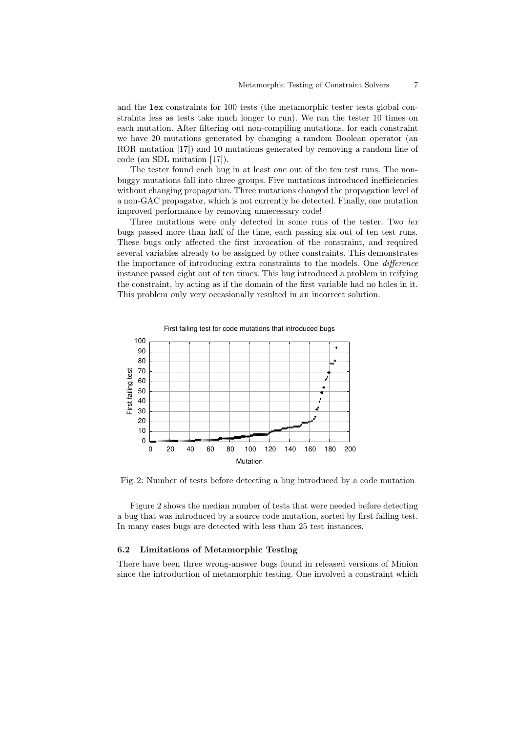and the lex constraints for 100 tests (the metamorphic tester tests global constraints less as tests take much longer to run). We ran the tester 10 times on each mutation. After filtering out non-compiling mutations, for each constraint we have 20 mutations generated by changing a random Boolean operator (an ROR mutation [17]) and 10 mutations generated by removing a random line of code (an SDL mutation [17]).

The tester found each bug in at least one out of the ten test runs. The nonbuggy mutations fall into three groups. Five mutations introduced inefficiencies without changing propagation. Three mutations changed the propagation level of a non-GAC propagator, which is not currently be detected. Finally, one mutation improved performance by removing unnecessary code!

Three mutations were only detected in some runs of the tester. Two lex bugs passed more than half of the time, each passing six out of ten test runs. These bugs only affected the first invocation of the constraint, and required several variables already to be assigned by other constraints. This demonstrates the importance of introducing extra constraints to the models. One difference instance passed eight out of ten times. This bug introduced a problem in reifying the constraint, by acting as if the domain of the first variable had no holes in it. This problem only very occasionally resulted in an incorrect solution.



Fig. 2: Number of tests before detecting a bug introduced by a code mutation

Figure 2 shows the median number of tests that were needed before detecting a bug that was introduced by a source code mutation, sorted by first failing test. In many cases bugs are detected with less than 25 test instances.

#### 6.2 Limitations of Metamorphic Testing

There have been three wrong-answer bugs found in released versions of Minion since the introduction of metamorphic testing. One involved a constraint which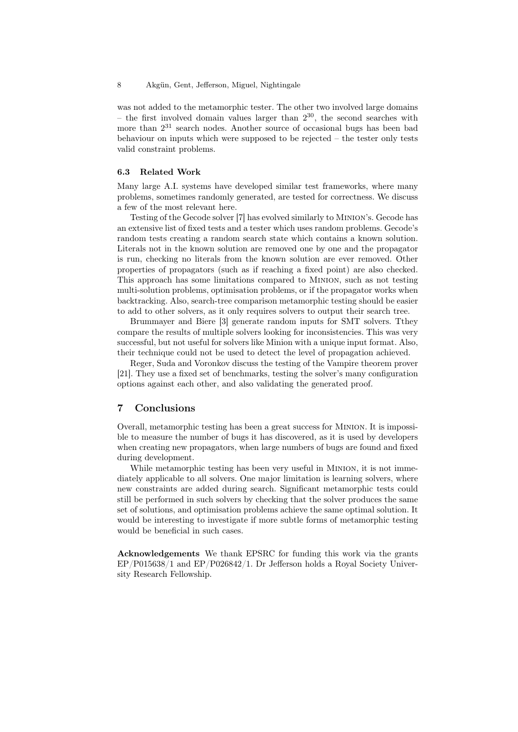was not added to the metamorphic tester. The other two involved large domains  $-$  the first involved domain values larger than  $2^{30}$ , the second searches with more than  $2^{31}$  search nodes. Another source of occasional bugs has been bad behaviour on inputs which were supposed to be rejected – the tester only tests valid constraint problems.

#### 6.3 Related Work

Many large A.I. systems have developed similar test frameworks, where many problems, sometimes randomly generated, are tested for correctness. We discuss a few of the most relevant here.

Testing of the Gecode solver [7] has evolved similarly to Minion's. Gecode has an extensive list of fixed tests and a tester which uses random problems. Gecode's random tests creating a random search state which contains a known solution. Literals not in the known solution are removed one by one and the propagator is run, checking no literals from the known solution are ever removed. Other properties of propagators (such as if reaching a fixed point) are also checked. This approach has some limitations compared to Minion, such as not testing multi-solution problems, optimisation problems, or if the propagator works when backtracking. Also, search-tree comparison metamorphic testing should be easier to add to other solvers, as it only requires solvers to output their search tree.

Brummayer and Biere [3] generate random inputs for SMT solvers. Tthey compare the results of multiple solvers looking for inconsistencies. This was very successful, but not useful for solvers like Minion with a unique input format. Also, their technique could not be used to detect the level of propagation achieved.

Reger, Suda and Voronkov discuss the testing of the Vampire theorem prover [21]. They use a fixed set of benchmarks, testing the solver's many configuration options against each other, and also validating the generated proof.

### 7 Conclusions

Overall, metamorphic testing has been a great success for Minion. It is impossible to measure the number of bugs it has discovered, as it is used by developers when creating new propagators, when large numbers of bugs are found and fixed during development.

While metamorphic testing has been very useful in MINION, it is not immediately applicable to all solvers. One major limitation is learning solvers, where new constraints are added during search. Significant metamorphic tests could still be performed in such solvers by checking that the solver produces the same set of solutions, and optimisation problems achieve the same optimal solution. It would be interesting to investigate if more subtle forms of metamorphic testing would be beneficial in such cases.

Acknowledgements We thank EPSRC for funding this work via the grants EP/P015638/1 and EP/P026842/1. Dr Jefferson holds a Royal Society University Research Fellowship.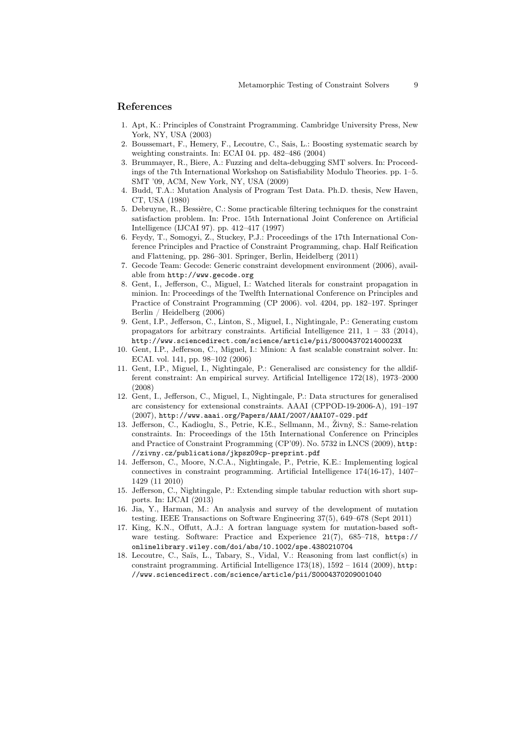#### References

- 1. Apt, K.: Principles of Constraint Programming. Cambridge University Press, New York, NY, USA (2003)
- 2. Boussemart, F., Hemery, F., Lecoutre, C., Sais, L.: Boosting systematic search by weighting constraints. In: ECAI 04. pp. 482–486 (2004)
- 3. Brummayer, R., Biere, A.: Fuzzing and delta-debugging SMT solvers. In: Proceedings of the 7th International Workshop on Satisfiability Modulo Theories. pp. 1–5. SMT '09, ACM, New York, NY, USA (2009)
- 4. Budd, T.A.: Mutation Analysis of Program Test Data. Ph.D. thesis, New Haven, CT, USA (1980)
- 5. Debruyne, R., Bessière, C.: Some practicable filtering techniques for the constraint satisfaction problem. In: Proc. 15th International Joint Conference on Artificial Intelligence (IJCAI 97). pp. 412–417 (1997)
- 6. Feydy, T., Somogyi, Z., Stuckey, P.J.: Proceedings of the 17th International Conference Principles and Practice of Constraint Programming, chap. Half Reification and Flattening, pp. 286–301. Springer, Berlin, Heidelberg (2011)
- 7. Gecode Team: Gecode: Generic constraint development environment (2006), available from http://www.gecode.org
- 8. Gent, I., Jefferson, C., Miguel, I.: Watched literals for constraint propagation in minion. In: Proceedings of the Twelfth International Conference on Principles and Practice of Constraint Programming (CP 2006). vol. 4204, pp. 182–197. Springer Berlin / Heidelberg (2006)
- 9. Gent, I.P., Jefferson, C., Linton, S., Miguel, I., Nightingale, P.: Generating custom propagators for arbitrary constraints. Artificial Intelligence 211,  $1 - 33$  (2014), http://www.sciencedirect.com/science/article/pii/S000437021400023X
- 10. Gent, I.P., Jefferson, C., Miguel, I.: Minion: A fast scalable constraint solver. In: ECAI. vol. 141, pp. 98–102 (2006)
- 11. Gent, I.P., Miguel, I., Nightingale, P.: Generalised arc consistency for the alldifferent constraint: An empirical survey. Artificial Intelligence 172(18), 1973–2000 (2008)
- 12. Gent, I., Jefferson, C., Miguel, I., Nightingale, P.: Data structures for generalised arc consistency for extensional constraints. AAAI (CPPOD-19-2006-A), 191–197 (2007), http://www.aaai.org/Papers/AAAI/2007/AAAI07-029.pdf
- 13. Jefferson, C., Kadioglu, S., Petrie, K.E., Sellmann, M., Živný, S.: Same-relation constraints. In: Proceedings of the 15th International Conference on Principles and Practice of Constraint Programming (CP'09). No. 5732 in LNCS (2009), http: //zivny.cz/publications/jkpsz09cp-preprint.pdf
- 14. Jefferson, C., Moore, N.C.A., Nightingale, P., Petrie, K.E.: Implementing logical connectives in constraint programming. Artificial Intelligence 174(16-17), 1407– 1429 (11 2010)
- 15. Jefferson, C., Nightingale, P.: Extending simple tabular reduction with short supports. In: IJCAI (2013)
- 16. Jia, Y., Harman, M.: An analysis and survey of the development of mutation testing. IEEE Transactions on Software Engineering 37(5), 649–678 (Sept 2011)
- 17. King, K.N., Offutt, A.J.: A fortran language system for mutation-based software testing. Software: Practice and Experience 21(7), 685–718, https:// onlinelibrary.wiley.com/doi/abs/10.1002/spe.4380210704
- 18. Lecoutre, C., Saïs, L., Tabary, S., Vidal, V.: Reasoning from last conflict(s) in constraint programming. Artificial Intelligence  $173(18)$ ,  $1592 - 1614$  (2009), http: //www.sciencedirect.com/science/article/pii/S0004370209001040